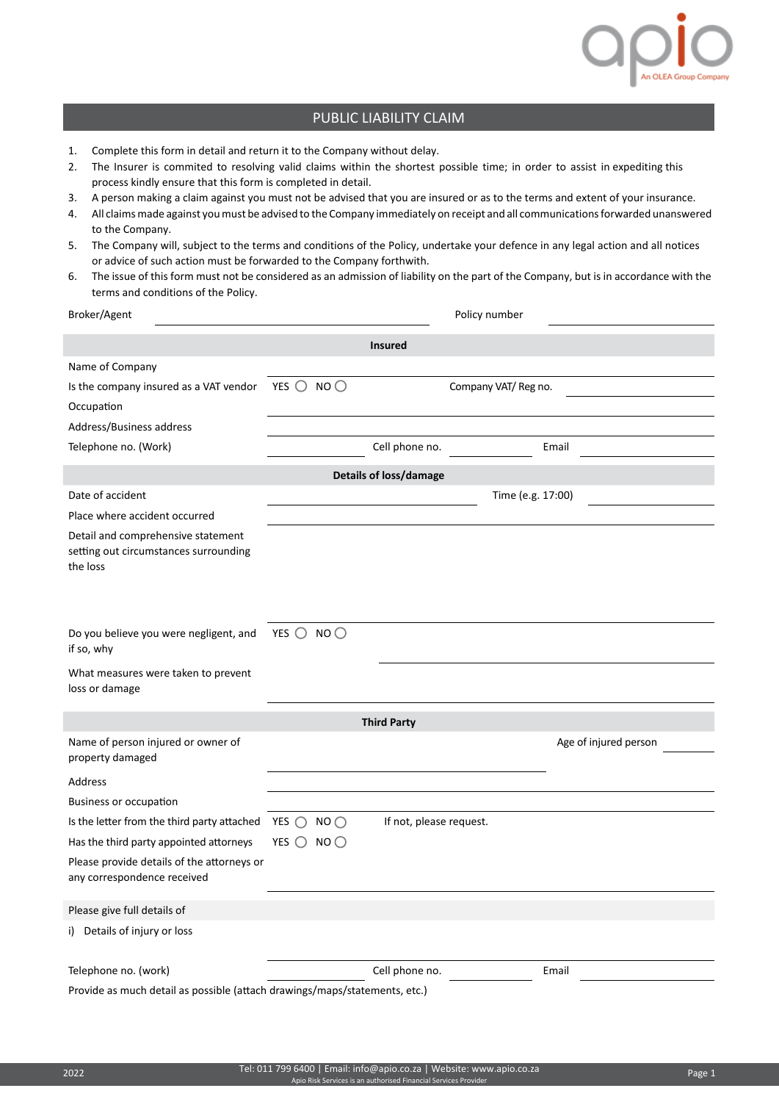

## PUBLIC LIABILITY CLAIM

- 1. Complete this form in detail and return it to the Company without delay.
- 2. The Insurer is commited to resolving valid claims within the shortest possible time; in order to assist in expediting this process kindly ensure that this form is completed in detail.
- 3. A person making a claim against you must not be advised that you are insured or as to the terms and extent of your insurance.
- 4. All claims made against you must be advised to the Company immediately on receipt and all communications forwarded unanswered to the Company.
- 5. The Company will, subject to the terms and conditions of the Policy, undertake your defence in any legal action and all notices or advice of such action must be forwarded to the Company forthwith.
- 6. The issue of this form must not be considered as an admission of liability on the part of the Company, but is in accordance with the terms and conditions of the Policy.

| Broker/Agent                                                                            | Policy number                                             |                         |                       |  |  |
|-----------------------------------------------------------------------------------------|-----------------------------------------------------------|-------------------------|-----------------------|--|--|
| <b>Insured</b>                                                                          |                                                           |                         |                       |  |  |
| Name of Company                                                                         |                                                           |                         |                       |  |  |
| Is the company insured as a VAT vendor                                                  | YES $\bigcirc$<br>NO <sub>O</sub><br>Company VAT/ Reg no. |                         |                       |  |  |
| Occupation                                                                              |                                                           |                         |                       |  |  |
| Address/Business address                                                                |                                                           |                         |                       |  |  |
| Telephone no. (Work)                                                                    |                                                           | Cell phone no.          | Email                 |  |  |
| <b>Details of loss/damage</b>                                                           |                                                           |                         |                       |  |  |
| Date of accident                                                                        | Time (e.g. 17:00)                                         |                         |                       |  |  |
| Place where accident occurred                                                           |                                                           |                         |                       |  |  |
| Detail and comprehensive statement<br>setting out circumstances surrounding<br>the loss |                                                           |                         |                       |  |  |
| Do you believe you were negligent, and<br>if so, why                                    | YES $\bigcirc$ NO $\bigcirc$                              |                         |                       |  |  |
| What measures were taken to prevent<br>loss or damage                                   |                                                           |                         |                       |  |  |
| <b>Third Party</b>                                                                      |                                                           |                         |                       |  |  |
| Name of person injured or owner of<br>property damaged                                  |                                                           |                         | Age of injured person |  |  |
| Address                                                                                 |                                                           |                         |                       |  |  |
| <b>Business or occupation</b>                                                           |                                                           |                         |                       |  |  |
| Is the letter from the third party attached                                             | YES $\bigcirc$ NO $\bigcirc$                              | If not, please request. |                       |  |  |
| Has the third party appointed attorneys                                                 | YES $\bigcirc$<br>NO <sub>O</sub>                         |                         |                       |  |  |
| Please provide details of the attorneys or<br>any correspondence received               |                                                           |                         |                       |  |  |
| Please give full details of                                                             |                                                           |                         |                       |  |  |
| i) Details of injury or loss                                                            |                                                           |                         |                       |  |  |
| Telephone no. (work)                                                                    |                                                           | Cell phone no.          | Email                 |  |  |
| Provide as much detail as possible (attach drawings/maps/statements, etc.)              |                                                           |                         |                       |  |  |